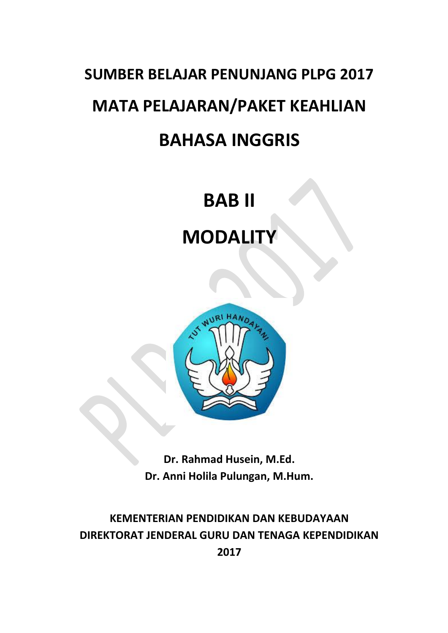# **SUMBER BELAJAR PENUNJANG PLPG 2017 MATA PELAJARAN/PAKET KEAHLIAN BAHASA INGGRIS**

### **BAB II**

## **MODALITY**



**Dr. Rahmad Husein, M.Ed. Dr. Anni Holila Pulungan, M.Hum.**

**KEMENTERIAN PENDIDIKAN DAN KEBUDAYAAN DIREKTORAT JENDERAL GURU DAN TENAGA KEPENDIDIKAN 2017**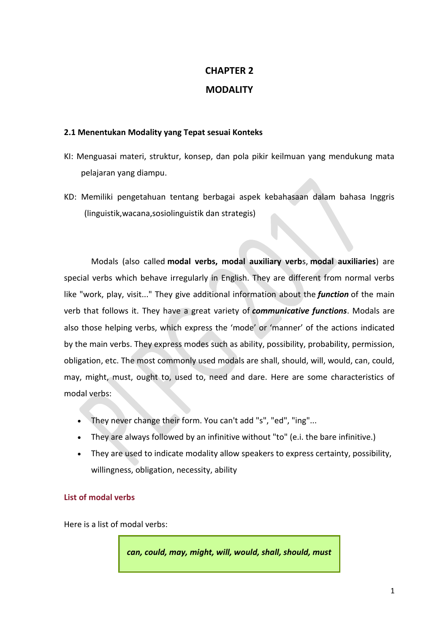### **CHAPTER 2 MODALITY**

#### **2.1 Menentukan Modality yang Tepat sesuai Konteks**

- KI: Menguasai materi, struktur, konsep, dan pola pikir keilmuan yang mendukung mata pelajaran yang diampu.
- KD: Memiliki pengetahuan tentang berbagai aspek kebahasaan dalam bahasa Inggris (linguistik,wacana,sosiolinguistik dan strategis)

Modals (also called **modal verbs, modal auxiliary verb**s, **modal auxiliaries**) are special verbs which behave irregularly in English. They are different from normal verbs like "work, play, visit..." They give additional information about the *function* of the main verb that follows it. They have a great variety of *communicative functions*. Modals are also those helping verbs, which express the 'mode' or 'manner' of the actions indicated by the main verbs. They express modes such as ability, possibility, probability, permission, obligation, etc. The most commonly used modals are shall, should, will, would, can, could, may, might, must, ought to, used to, need and dare. Here are some characteristics of modal verbs:

- They never change their form. You can't add "s", "ed", "ing"...
- They are always followed by an infinitive without "to" (e.i. the bare infinitive.)
- They are used to indicate modality allow speakers to express certainty, possibility, willingness, obligation, necessity, ability

#### **List of modal verbs**

Here is a list of modal verbs:

*can, could, may, might, will, would, shall, should, must*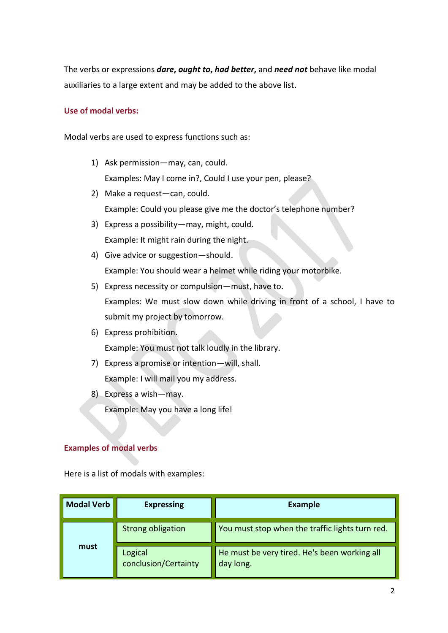The verbs or expressions *dare***,** *ought to***,** *had better***,** and *need not* behave like modal auxiliaries to a large extent and may be added to the above list.

#### **Use of modal verbs:**

Modal verbs are used to express functions such as:

- 1) Ask permission—may, can, could. Examples: May I come in?, Could I use your pen, please?
- 2) Make a request—can, could. Example: Could you please give me the doctor's telephone number?
- 3) Express a possibility—may, might, could. Example: It might rain during the night.
- 4) Give advice or suggestion—should. Example: You should wear a helmet while riding your motorbike.
- 5) Express necessity or compulsion—must, have to. Examples: We must slow down while driving in front of a school, I have to submit my project by tomorrow.
- 6) Express prohibition. Example: You must not talk loudly in the library.
- 7) Express a promise or intention—will, shall. Example: I will mail you my address.
- 8) Express a wish—may.

Example: May you have a long life!

#### **Examples of modal verbs**

Here is a list of modals with examples:

| <b>Modal Verb</b> | <b>Expressing</b>               | <b>Example</b>                                            |
|-------------------|---------------------------------|-----------------------------------------------------------|
| must              | <b>Strong obligation</b>        | You must stop when the traffic lights turn red.           |
|                   | Logical<br>conclusion/Certainty | He must be very tired. He's been working all<br>day long. |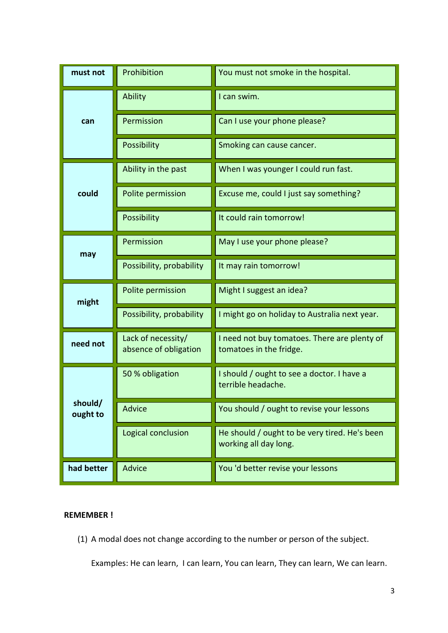| must not            | Prohibition                                 | You must not smoke in the hospital.                                     |
|---------------------|---------------------------------------------|-------------------------------------------------------------------------|
| can                 | Ability                                     | I can swim.                                                             |
|                     | Permission                                  | Can I use your phone please?                                            |
|                     | Possibility                                 | Smoking can cause cancer.                                               |
| could               | Ability in the past                         | When I was younger I could run fast.                                    |
|                     | Polite permission                           | Excuse me, could I just say something?                                  |
|                     | <b>Possibility</b>                          | It could rain tomorrow!                                                 |
| may                 | Permission                                  | May I use your phone please?                                            |
|                     | Possibility, probability                    | It may rain tomorrow!                                                   |
| might               | Polite permission                           | Might I suggest an idea?                                                |
|                     | Possibility, probability                    | I might go on holiday to Australia next year.                           |
| need not            | Lack of necessity/<br>absence of obligation | I need not buy tomatoes. There are plenty of<br>tomatoes in the fridge. |
| should/<br>ought to | 50 % obligation                             | I should / ought to see a doctor. I have a<br>terrible headache.        |
|                     | <b>Advice</b>                               | You should / ought to revise your lessons                               |
|                     | Logical conclusion                          | He should / ought to be very tired. He's been<br>working all day long.  |
| had better          | Advice                                      | You 'd better revise your lessons                                       |

#### **REMEMBER !**

(1) A modal does not change according to the number or person of the subject.

Examples: He can learn, I can learn, You can learn, They can learn, We can learn.